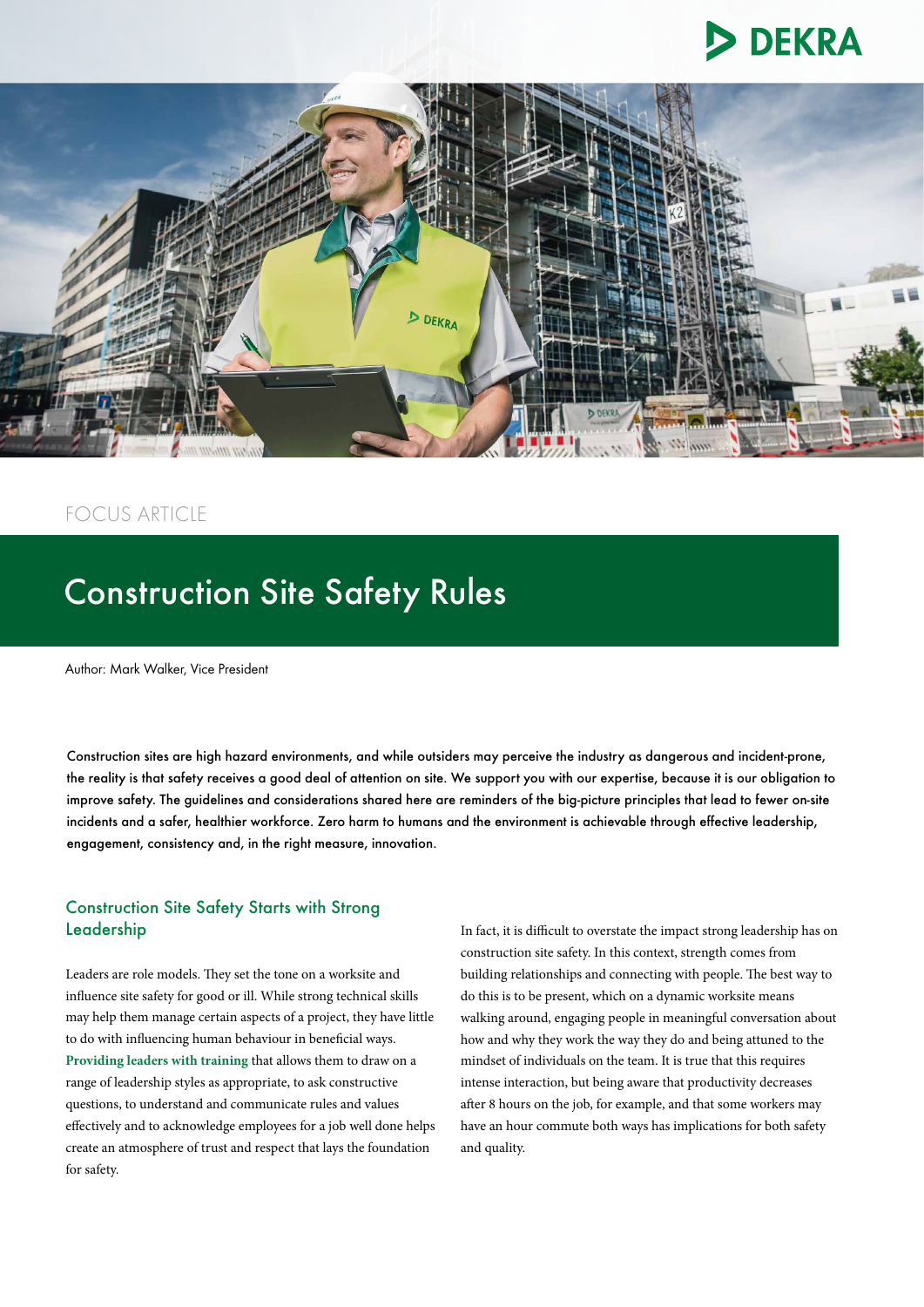



## FOCUS ARTICLE

# Construction Site Safety Rules

Author: Mark Walker, Vice President

Construction sites are high hazard environments, and while outsiders may perceive the industry as dangerous and incident-prone, the reality is that safety receives a good deal of attention on site. We support you with our expertise, because it is our obligation to improve safety. The guidelines and considerations shared here are reminders of the big-picture principles that lead to fewer on-site incidents and a safer, healthier workforce. Zero harm to humans and the environment is achievable through effective leadership, engagement, consistency and, in the right measure, innovation.

#### Construction Site Safety Starts with Strong Leadership

Leaders are role models. They set the tone on a worksite and influence site safety for good or ill. While strong technical skills may help them manage certain aspects of a project, they have little to do with influencing human behaviour in beneficial ways. **[Providing leaders with training](https://www.dekra-uk.co.uk/en/leadership-coaching/)** that allows them to draw on a range of leadership styles as appropriate, to ask constructive questions, to understand and communicate rules and values effectively and to acknowledge employees for a job well done helps create an atmosphere of trust and respect that lays the foundation for safety.

In fact, it is difficult to overstate the impact strong leadership has on construction site safety. In this context, strength comes from building relationships and connecting with people. The best way to do this is to be present, which on a dynamic worksite means walking around, engaging people in meaningful conversation about how and why they work the way they do and being attuned to the mindset of individuals on the team. It is true that this requires intense interaction, but being aware that productivity decreases after 8 hours on the job, for example, and that some workers may have an hour commute both ways has implications for both safety and quality.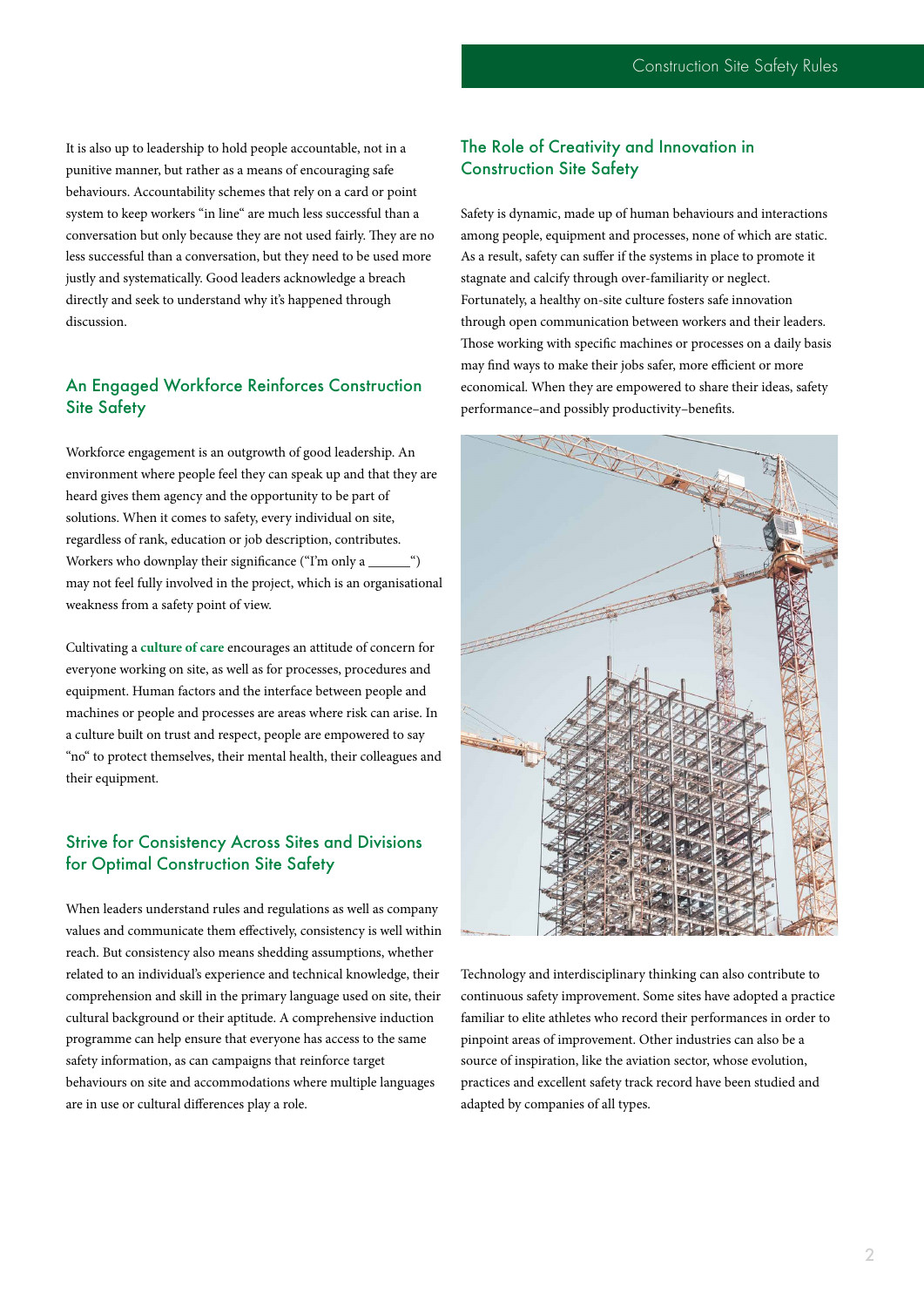It is also up to leadership to hold people accountable, not in a punitive manner, but rather as a means of encouraging safe behaviours. Accountability schemes that rely on a card or point system to keep workers "in line" are much less successful than a conversation but only because they are not used fairly. They are no less successful than a conversation, but they need to be used more justly and systematically. Good leaders acknowledge a breach directly and seek to understand why it's happened through discussion.

### An Engaged Workforce Reinforces Construction Site Safety

Workforce engagement is an outgrowth of good leadership. An environment where people feel they can speak up and that they are heard gives them agency and the opportunity to be part of solutions. When it comes to safety, every individual on site, regardless of rank, education or job description, contributes. Workers who downplay their significance ("I'm only a may not feel fully involved in the project, which is an organisational weakness from a safety point of view.

Cultivating a **[culture of care](https://www.dekra-uk.co.uk/en/culture-of-care-diagnostic/)** encourages an attitude of concern for everyone working on site, as well as for processes, procedures and equipment. Human factors and the interface between people and machines or people and processes are areas where risk can arise. In a culture built on trust and respect, people are empowered to say "no" to protect themselves, their mental health, their colleagues and their equipment.

#### Strive for Consistency Across Sites and Divisions for Optimal Construction Site Safety

When leaders understand rules and regulations as well as company values and communicate them effectively, consistency is well within reach. But consistency also means shedding assumptions, whether related to an individual's experience and technical knowledge, their comprehension and skill in the primary language used on site, their cultural background or their aptitude. A comprehensive induction programme can help ensure that everyone has access to the same safety information, as can campaigns that reinforce target behaviours on site and accommodations where multiple languages are in use or cultural differences play a role.

### The Role of Creativity and Innovation in Construction Site Safety

Safety is dynamic, made up of human behaviours and interactions among people, equipment and processes, none of which are static. As a result, safety can suffer if the systems in place to promote it stagnate and calcify through over-familiarity or neglect. Fortunately, a healthy on-site culture fosters safe innovation through open communication between workers and their leaders. Those working with specific machines or processes on a daily basis may find ways to make their jobs safer, more efficient or more economical. When they are empowered to share their ideas, safety



Technology and interdisciplinary thinking can also contribute to continuous safety improvement. Some sites have adopted a practice familiar to elite athletes who record their performances in order to pinpoint areas of improvement. Other industries can also be a source of inspiration, like the aviation sector, whose evolution, practices and excellent safety track record have been studied and adapted by companies of all types.